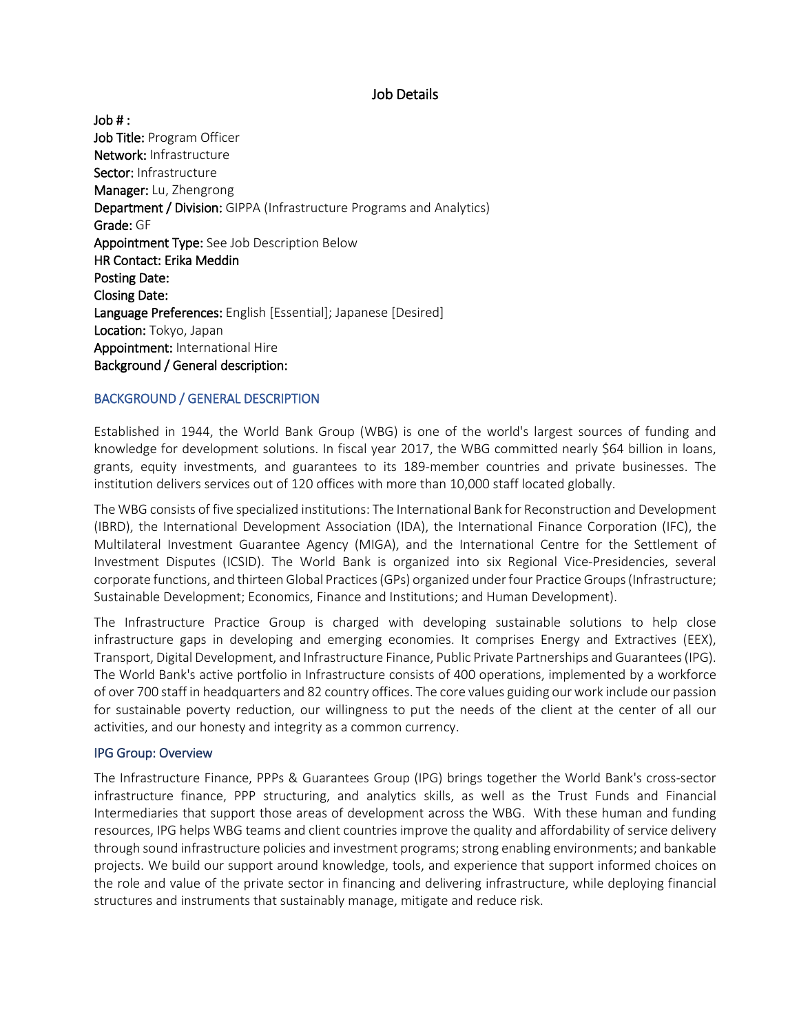## Job Details

Job # : Job Title: Program Officer Network: Infrastructure Sector: Infrastructure Manager: Lu, Zhengrong Department / Division: GIPPA (Infrastructure Programs and Analytics) Grade: GF Appointment Type: See Job Description Below HR Contact: Erika Meddin Posting Date: Closing Date: Language Preferences: English [Essential]; Japanese [Desired] Location: Tokyo, Japan Appointment: International Hire Background / General description:

# BACKGROUND / GENERAL DESCRIPTION

Established in 1944, the World Bank Group (WBG) is one of the world's largest sources of funding and knowledge for development solutions. In fiscal year 2017, the WBG committed nearly \$64 billion in loans, grants, equity investments, and guarantees to its 189-member countries and private businesses. The institution delivers services out of 120 offices with more than 10,000 staff located globally.

The WBG consists of five specialized institutions: The International Bank for Reconstruction and Development (IBRD), the International Development Association (IDA), the International Finance Corporation (IFC), the Multilateral Investment Guarantee Agency (MIGA), and the International Centre for the Settlement of Investment Disputes (ICSID). The World Bank is organized into six Regional Vice-Presidencies, several corporate functions, and thirteen Global Practices (GPs) organized under four Practice Groups (Infrastructure; Sustainable Development; Economics, Finance and Institutions; and Human Development).

The Infrastructure Practice Group is charged with developing sustainable solutions to help close infrastructure gaps in developing and emerging economies. It comprises Energy and Extractives (EEX), Transport, Digital Development, and Infrastructure Finance, Public Private Partnerships and Guarantees (IPG). The World Bank's active portfolio in Infrastructure consists of 400 operations, implemented by a workforce of over 700 staff in headquarters and 82 country offices. The core values guiding our work include our passion for sustainable poverty reduction, our willingness to put the needs of the client at the center of all our activities, and our honesty and integrity as a common currency.

## IPG Group: Overview

The Infrastructure Finance, PPPs & Guarantees Group (IPG) brings together the World Bank's cross-sector infrastructure finance, PPP structuring, and analytics skills, as well as the Trust Funds and Financial Intermediaries that support those areas of development across the WBG. With these human and funding resources, IPG helps WBG teams and client countries improve the quality and affordability of service delivery through sound infrastructure policies and investment programs; strong enabling environments; and bankable projects. We build our support around knowledge, tools, and experience that support informed choices on the role and value of the private sector in financing and delivering infrastructure, while deploying financial structures and instruments that sustainably manage, mitigate and reduce risk.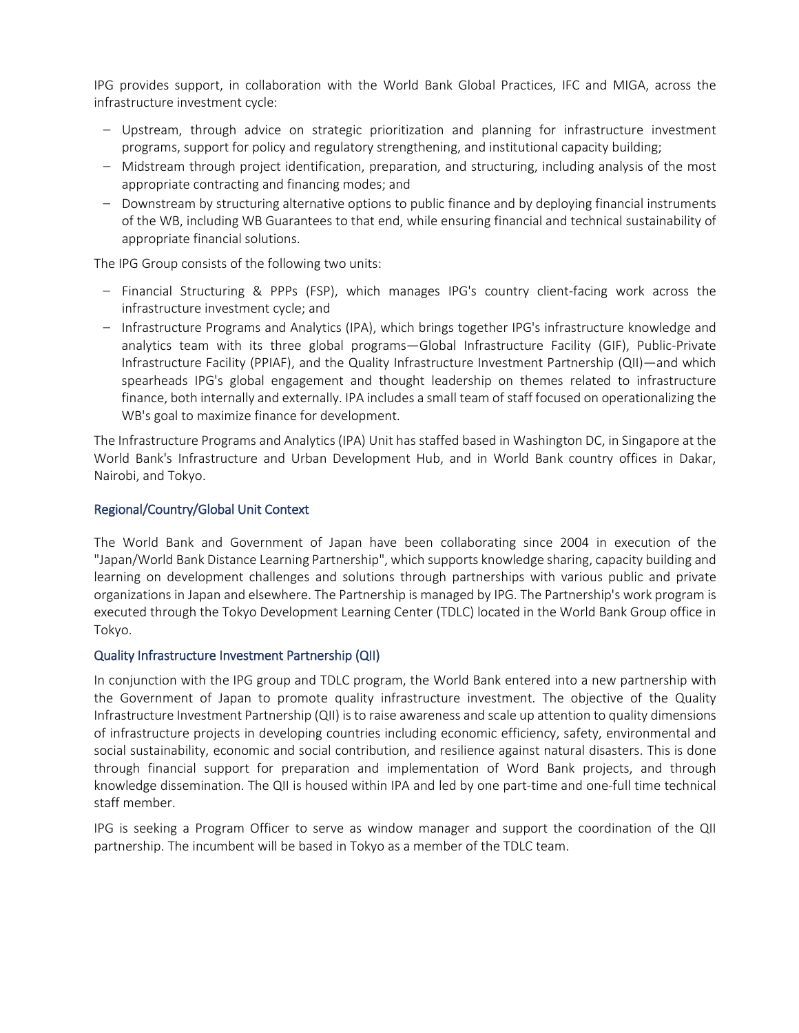IPG provides support, in collaboration with the World Bank Global Practices, IFC and MIGA, across the infrastructure investment cycle:

- Upstream, through advice on strategic prioritization and planning for infrastructure investment programs, support for policy and regulatory strengthening, and institutional capacity building;
- Midstream through project identification, preparation, and structuring, including analysis of the most appropriate contracting and financing modes; and
- Downstream by structuring alternative options to public finance and by deploying financial instruments of the WB, including WB Guarantees to that end, while ensuring financial and technical sustainability of appropriate financial solutions.

The IPG Group consists of the following two units:

- Financial Structuring & PPPs (FSP), which manages IPG's country client-facing work across the infrastructure investment cycle; and
- Infrastructure Programs and Analytics (IPA), which brings together IPG's infrastructure knowledge and analytics team with its three global programs—Global Infrastructure Facility (GIF), Public-Private Infrastructure Facility (PPIAF), and the Quality Infrastructure Investment Partnership (QII)—and which spearheads IPG's global engagement and thought leadership on themes related to infrastructure finance, both internally and externally. IPA includes a small team of staff focused on operationalizing the WB's goal to maximize finance for development.

The Infrastructure Programs and Analytics (IPA) Unit has staffed based in Washington DC, in Singapore at the World Bank's Infrastructure and Urban Development Hub, and in World Bank country offices in Dakar, Nairobi, and Tokyo.

## Regional/Country/Global Unit Context

The World Bank and Government of Japan have been collaborating since 2004 in execution of the "Japan/World Bank Distance Learning Partnership", which supports knowledge sharing, capacity building and learning on development challenges and solutions through partnerships with various public and private organizations in Japan and elsewhere. The Partnership is managed by IPG. The Partnership's work program is executed through the Tokyo Development Learning Center (TDLC) located in the World Bank Group office in Tokyo.

## Quality Infrastructure Investment Partnership (QII)

In conjunction with the IPG group and TDLC program, the World Bank entered into a new partnership with the Government of Japan to promote quality infrastructure investment. The objective of the Quality Infrastructure Investment Partnership (QII) is to raise awareness and scale up attention to quality dimensions of infrastructure projects in developing countries including economic efficiency, safety, environmental and social sustainability, economic and social contribution, and resilience against natural disasters. This is done through financial support for preparation and implementation of Word Bank projects, and through knowledge dissemination. The QII is housed within IPA and led by one part-time and one-full time technical staff member.

IPG is seeking a Program Officer to serve as window manager and support the coordination of the QII partnership. The incumbent will be based in Tokyo as a member of the TDLC team.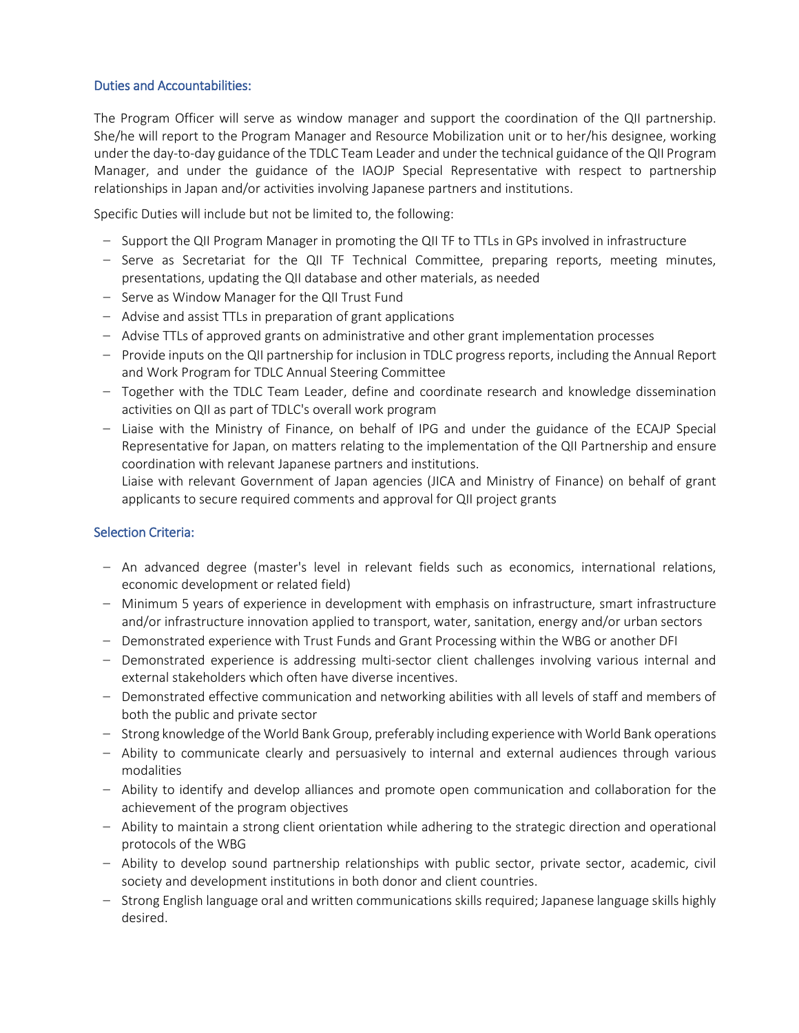## Duties and Accountabilities:

The Program Officer will serve as window manager and support the coordination of the QII partnership. She/he will report to the Program Manager and Resource Mobilization unit or to her/his designee, working under the day-to-day guidance of the TDLC Team Leader and under the technical guidance of the QII Program Manager, and under the guidance of the IAOJP Special Representative with respect to partnership relationships in Japan and/or activities involving Japanese partners and institutions.

Specific Duties will include but not be limited to, the following:

- Support the QII Program Manager in promoting the QII TF to TTLs in GPs involved in infrastructure
- Serve as Secretariat for the QII TF Technical Committee, preparing reports, meeting minutes, presentations, updating the QII database and other materials, as needed
- Serve as Window Manager for the QII Trust Fund
- Advise and assist TTLs in preparation of grant applications
- Advise TTLs of approved grants on administrative and other grant implementation processes
- Provide inputs on the QII partnership for inclusion in TDLC progress reports, including the Annual Report and Work Program for TDLC Annual Steering Committee
- Together with the TDLC Team Leader, define and coordinate research and knowledge dissemination activities on QII as part of TDLC's overall work program
- Liaise with the Ministry of Finance, on behalf of IPG and under the guidance of the ECAJP Special Representative for Japan, on matters relating to the implementation of the QII Partnership and ensure coordination with relevant Japanese partners and institutions.

Liaise with relevant Government of Japan agencies (JICA and Ministry of Finance) on behalf of grant applicants to secure required comments and approval for QII project grants

## Selection Criteria:

- An advanced degree (master's level in relevant fields such as economics, international relations, economic development or related field)
- Minimum 5 years of experience in development with emphasis on infrastructure, smart infrastructure and/or infrastructure innovation applied to transport, water, sanitation, energy and/or urban sectors
- Demonstrated experience with Trust Funds and Grant Processing within the WBG or another DFI
- Demonstrated experience is addressing multi-sector client challenges involving various internal and external stakeholders which often have diverse incentives.
- Demonstrated effective communication and networking abilities with all levels of staff and members of both the public and private sector
- Strong knowledge of the World Bank Group, preferably including experience with World Bank operations
- Ability to communicate clearly and persuasively to internal and external audiences through various modalities
- Ability to identify and develop alliances and promote open communication and collaboration for the achievement of the program objectives
- Ability to maintain a strong client orientation while adhering to the strategic direction and operational protocols of the WBG
- Ability to develop sound partnership relationships with public sector, private sector, academic, civil society and development institutions in both donor and client countries.
- Strong English language oral and written communications skills required; Japanese language skills highly desired.